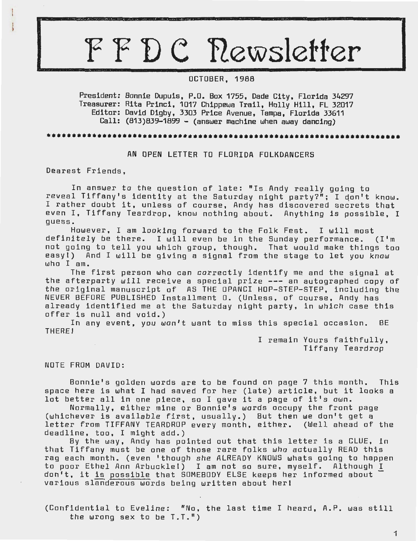# FFDC Rewsletter

# OCTOBER, 1988

President: Bonnie Dupuis, P.O. Box 1755, Dade City, Florida 34297 Treasurer: Rita Princi, 1017 Chippewa Trail, Holly Hill, FL 32017 Editor: David Digby, 3303 Price Avenue, Tampa, Florida 33611 Call: (813)839-1899 - (answer machine when away dancing)

# ••••••••••••••••••••••••••••••••••••••••••••••••••••••••••••••••••••••

AN OPEN LETTER TO FLORIDA FOLKDANCERS

Dearest Friends,

In answer to the question of late: "Is Andy really going to reveal Tiffany's identity at the Saturday night party?"; I don't know. I rather doubt it, unless of course, Andy has discovered secrets that even I, Tiffany Teardrop, know nothing about. Anything is possible, I guess.

However, I am looking forward to the Folk Fest. I will most definitely be there. I will even be in the Sunday performance. (I'm not going to tell you which group, though. That would make things too easy!) And I will be giving a signal from the stage to let you know who I am.

The first person who can correctly identify me and the signal at the afterparty will receive a special prize --- an autographed copy of the original manuscript of AS THE OPANCI HOP-STEP-STEP, including the NEVER BEFORE PUBLISHED Installment 0. (Unless, of course, Andy has already identified me at the Saturday night party, in which case this offer is null and void.)

In any event, you won't want to miss this special occasion. BE THERE!

> I remain Yours faithfully, Tiffany Teardrop

# NOTE FROM DAVID:

Bonnie's golden words are to be found on page 7 this month. This space here is what I had saved for her (late) article, but it looks a lot better all in one piece, so I gave it a page of it's own.

Normally, either mine or Bonnie's words occupy the front page (whichever is availabie first, usually.) But then we don't get a letter from TIFFANY TEARDROP every month, either. (Well ahead of the deadline, tao, I might add.)

By the way, Andy has pointed out that this letter is a CLUE, in that Tiffany must be one of those rare folks who actually READ this rag each month. (even 'though she ALREADY KNOWS whats going to happen to poor Ethel Ann Arbuckle!) I am not so sure, myself. Although I don't, it is possible that SOMEBODY ELSE keeps her informed about various slanderous words being written about herl

(Confidential to Eveline: "No, the last time I heard, A.P. was still the wrong sex to be T.T.")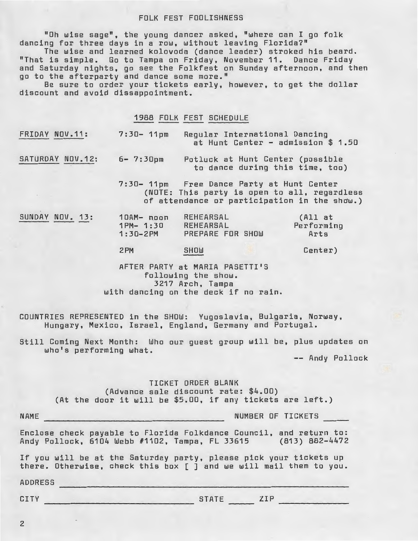#### FOLK FEST FOOLISHNESS

"Oh wise sage", the young dancer asked, "where can I go folk dancing for three days in a row, without leaving Florida?"

The wise and learned kolovoda (dance leader) stroked his beard. "That is simple. Go to Tampa on Friday, November 11. Dance Friday and Saturday nights, go see the Folkfest on Sunday afternoon, and then go to the afterparty and dance some more."

Be sure to order your tickets early, however, to get the dollar discount and avoid dissappointment.

# 1988 FOLK FEST SCHEDULE

|  | FRIDAY NOV.11: | $7:30 - 11 \text{pm}$ | Regular International Dancing      |  |
|--|----------------|-----------------------|------------------------------------|--|
|  |                |                       | at Hunt Center - admission \$ 1.50 |  |

SATURDAY NOV.12: 6- 7:30pm Potluck at Hunt Center (possible to dance during this time, too)

> 7:30- 11pm Free Dance Party at Hunt Center (NOTE: This party is open to all, regardless of attendance or participation in the shaw.)

| SUNDAY NOV. 13: |  |  | 10AM- noon<br>$1PM - 1:30$<br>$1:30 - 2PM$ | <b>REHEARSAL</b><br><b>REHEARSAL</b><br>PREPARE FOR SHOW | (All at<br>Performing<br>Arts |
|-----------------|--|--|--------------------------------------------|----------------------------------------------------------|-------------------------------|
|                 |  |  | 2PM                                        | SHOW<br>____                                             | Center)                       |

AFTER PARTY at MARIA PASETTI'S following the show. 3217 Arch, Tampa with dancing on the deck if no rain.

COUNTRIES REPRESENTED in the SHOW: Yugoslavia, Bulgaria, Norway, Hungary, Mexico, Israel, England, Germany and Portugal.

Still Coming Next Month: Who our guest group will be, plus updates on who's performing what.

-- Andy Pollock

TICKET ORDER BLANK (Advance sale discount rate: \$4.00) (At the door it will be \$5.00, if any tickets are left.)

NUMBER OF TICKETS

Enclose check payable to Florida Folkdance Council, and return to: Andy Pollock, 6104 Webb #1102, Tampa, FL 33615 (813) 882-4472

If you will be at the Saturday party, please pick your tickets up there. Otherwise, check this box [] and we will mail them to you.

ADDRESS

NAME

CITY STATE ZIP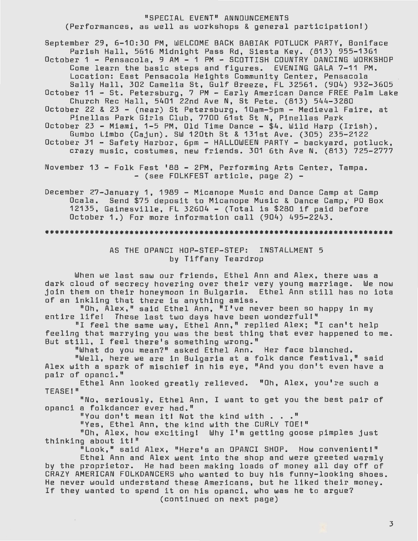# "SPECIAL EVENT" ANNOUNCEMENTS (Performances, as well as workshops & general participation!)

September 29, 6-10:30 PM, WELCOME BACK BABIAK POTLUCK PARTY, Boniface Parish Hall, 5616 Midnight Pass Rd, Siesta Key. (813) 955-1361 October 1 - Pensacola, 9 AM - 1 PM - SCOTTISH COUNTRY DANCING WORKSHOP Come learn the basic steps and figures. EVENING GALA 7-11 PM. Location: East Pensacola Heights Community Center, Pensacola Sally Hall, 302 Camelia St, Gulf Breeze, FL 32561. (904) 932-3605 October 11 - St. Petersburg, 7 PM - Early American Dance FREE Palm Lake Church Rec Hall, 5401 22nd Ave N, St Pete. (813) 544-3280 October 22 & 23 - (near) St Petersburg, 10am-5pm - Medieval Faire, at Pinellas Park Girls Club, 7700 61st St N, Pinellas Park October 23 - Miami, 1-5 PM, Old Time Dance - \$4. Wild Harp (Irish), Gumbo Limbo (Cajun). SW 120th St & 131st Ave. (305) 235-2122 October 31 - Safety Harbor, 6pm - HALLOWEEN PARTY - backyard, potluck, crazy music, costumes, new friends. 301 6th Ave N. (813) 725-2777

November 13 - Folk Fest '88 - 2PM, Performing Arts Center, Tampa.<br>- (see FOLKFEST article, page 2) -

December 27-January 1, 1989 - Micanope Music and Dance Camp at Camp Ocala. Send \$75 deposit to Micanope Music & Dance Camp,· PO Box 12135, Gainesville, FL 32604 - (Total is \$280 if paid before October 1.) For more information call (904) 495-2243.

# AS THE DPANCI HOP-STEP-STEP: INSTALLMENT 5 by Tiffany Teardrop

When we last saw our friends, Ethel Ann and Alex, there was a dark cloud of secrecy hovering over their very young marriage. We now Join them on their honeymoon in Bulgaria. Ethel Ann still has no iota of an inkling that there is anything amiss.

"Oh, Alex," said Ethel Ann, "I've never been so happy in my entire life! These last two days have been wonderful!"

"I feel the same way, Ethel Ann," replied Alex; "I can't help feeling that marrying you was the best thing that ever happened to me. But still, I feel there's something wrong."

"What do you mean?" asked Ethel Ann. Her face blanched.

"Well, here we are in Bulgaria at a folk dance festival," said Alex with a spark of mischief in his eye, "And you don't even have a pair of opanci."

Ethel Ann looked greatly relieved. "Oh, Alex, you're such a TEASEi"

"No, seriously, Ethel Ann, I want to get you the best pair of opanci a folkdancer ever had."

"You don't mean it! Not the kind with . . ."

"Yes, Ethel Ann, the kind with the .CURLY TOE!"

"Oh, Alex, how exciting! Why I'm getting goose pimples just thinking about it!"

"Look," said Alex, "Here's an OPANCI SHOP. How convenient!"

Ethel Ann and Alex went into the shop and were greeted warmly by the proprietor. He had been making loads of money all day off of CRAZY AMERICAN FDLKDANCERS who wanted to buy his funny-looking shoes. He never would understand these Americans, but he liked their money. If they wanted to spend it on his opanci, who was he to argue? (continued on next page)

3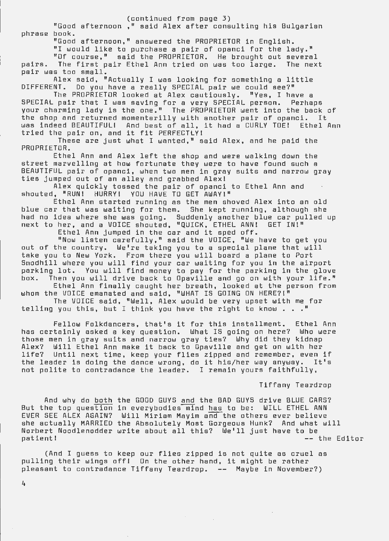#### (continued from page 3)

"Good afternoon ," said Alex after consulting his Bulgarian phrase book.

"Good afternoon," answered the PROPRIETOR in English.

"I would like to purchase a pair of opanci for the lady." "Of course," said the PROPRIETOR. He brought out several pairs. The first pair Ethel Ann tried on was too large. The next pair was too small.

Alex said, "Actually I was looking for something a little<br>DIFFERENT. Do vou have a really SPECIAL pair we could see?" Do you have a really SPECIAL pair we could see?"

The PROPRIETOR looked at Alex cautiously. "Yes, I have a SPECIAL pair that I was saving for a very SPECIAL person. Perhaps your charming lady is the one." The PROPRIETOR went into the back of the shop and returned momentarilly with another pair of opanci. It was indeed BEAUTIFUL! And best of all, it had a CURLY TOE! Ethel Ann tried the pair on, and it fit PERFECTLY !

These are just what I wanted," said Alex, and he paid the PROPRIETOR.

Ethel Ann and Alex left the shop and were walking down the street marvelling at how fortunate they were to have found such a BEAUTIFUL pair of opanci, when two men in gray suits and narrow gray ties jumped out of an alley and grabbed Alexi

Alex quickly tossed the pair of opanci to Ethel Ann and shouted, "RUN! HURRY! YOU HAVE TO GET AWAY!"

Ethel Ann started running as the men shoved Alex into an old blue car that was waiting for them. She kept running, although she had no idea where she was going. Suddenly another blue car pulled up next to her, and a VOICE shouted, "QUICK, ETHEL ANN! GET IN!"

Ethel Ann jumped in the car and it sped off. "Now listen carefully," said the VOICE, "We have to get you out of the country. We're taking you to a special plane that will

take you to New York. From there you will board a plane to Port Snodhill where you will find your car waiting for you in the airport parking lot. You will find money to pay for the parking in the glove box. Then you will drive back to Opaville and go on with your life." Ethel Ann finally caught her breath, looked at the person from

whom the VOICE emanated and said, "WHAT IS GOING ON HERE?!" The VOICE said, "Well, Alex would be very upset with me for

telling you this, but I think you have the right to know  $\ldots$ .

Fellow Folkdancers, that's it for this installment. Ethel Ann has certainly asked a key question. What IS going on here? Who were those men in gray suits and narrow gray ties? Why did they kidnap Alex? Will Ethel Ann make it back to Opaville and get on wit h her life? Until next time, keep your flies zipped and remember, even if the leader is doing the dance wrong, do it his/her way anyway. It's not polite to contradance the leader. I remain yours faithfully,

Tiffany Teardrop

And why do both But the top question EVER SEE ALEX AGAIN? Will Miriam Mayim anclthe others ever believe s he actually MARRIED the Absolutely Most Gorgeous Hunk? And what will Norbert Noodlenodder write about all this? We'll just have to be patient! the GOOD GUYS and the BAD GUYS drive BLUE CARS? in everybodies mind has to be : WILL ETHEL ANN -- the Editor

(And I guess to keep our flies zipped is not quite as cruel as pulling their wings off! On the other hand, it might be rather pleasant to contradance Tiffany Teardrop. -- Maybe in November?)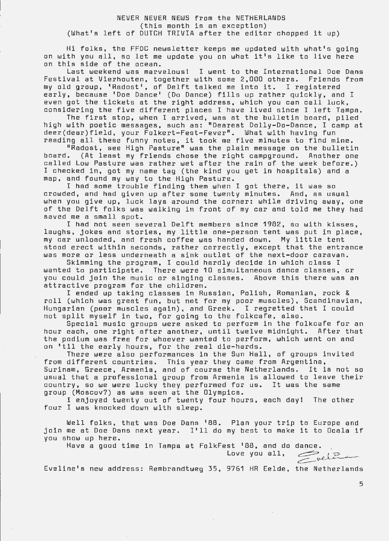## NEVER NEVER NEWS from the NETHERLANDS (this month is an exception) (What's left of DUTCH TRIVIA after the editor chopped it up)

Hi folks, the FFDC newsletter keeps me updated with what's going on with you all, so let me update you on what it's like to live here on this side of the ocean.

Last weekend was marvelous! I went to the International Doe Dans Festival at Vierhouten, together with some 2,000 others. Friends from my old group, 'Radost', of Delft talked me into it. I registered early, because 'Doe Dance' (Do Dance) fills up rather quickly, and I even got the tickets at the right address, which you can call luck, considering the five different places I have lived since I left Tampa.

The first stop, when I arrived, was at the bulletin board, piled high with poetic messages, such as: "Dearest Dolly-Do-Dance, I camp at deer(dear)field, your Folkert-Fest-Fever". What with having fun ueer(uear)rieiu, your roikert-rest-rever". what with having fun<br>reading all these funny notes, it took me five minutes to find mine.

"Radost, see High Pasture" was the plain message on the bulletin board. (At least my friends chose the right campground. Another one called Low Pasture was rather wet after the rain of the week before.) I checked in, got my name tag (the kind you get in hospitals) and a map, and found my way to the High Pasture.

I had some trouble finding them when I got there, it was so crowded, and had given up after some twenty minutes. And, as usual when you give up, luck lays around the corner: while driving away, one of the Delft folks was walking in front of my car and told me they had saved me a small spot.

I had not seen several Delft members since 1982, so with kisses, laughs, jokes and stories, my little one-person tent was put in place, my car unloaded, and fresh coffee was handed down. My little tent stood erect within seconds, rather correctly, except that the entrance was more or less underneath a sink outlet of the next-door caravan.

Skimming the program, I could hardly decide in which class I wanted to participate. There were 10 simultaneous dance classes, or you could join the music or singing classes. Above this there was an attractive program for the children.

I ended up taking classes in Russian, Polish, Romanian, rock & roll (which was great fun, but not for my poor muscles), Scandinavian, Hungarian (poor muscles again), and Greek. I regretted that I could not split myself in two, for going to the folkcafe, also.

Special music groups were asked to perform in the folkcafe for an hour each, one right after another, until twelve midnight. After that the podium was free for whoever wanted to perform, which went on and on 1 til the early hours, for the real die-hards.

There were also performances in the Sun Hall, of groups invited from different countries. This year they came from Argentina, Surinam, Greece, Armenia, and of course the Netherlands. It is not so usual that a professional group from Armenia is allowed to leave their country, so we were lucky they performed for us. It was the same group (Moscov?) as was seen at the Olympics.

I enjoyed twenty out of twenty four hours, each day! The other four I was knocked down with sleep.

Well folks, that was Doe Dans 1 88. Plan you r trip to Europe and well folks, that was Doe Dans '88. Plan your trip to Europe and<br>join me at Doe Dans next year. I'll do my best to make it to Ocala if you show up here.

Have a good time in Tampa at FolkFest '88, and do dance.<br>Love you all,  $\overbrace{\qquad \qquad }^{LQ}$ 

Eveline's new address: Rembrandtweg 35, 9761 HR Eelde, the Netherlands

5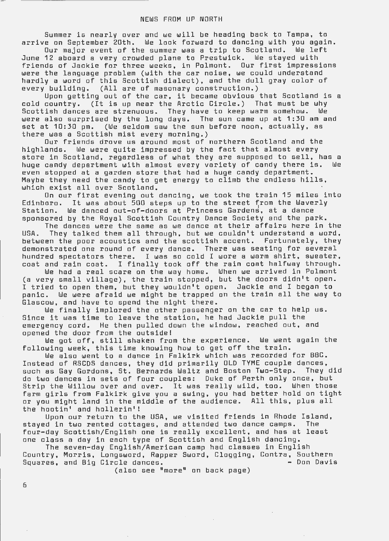Summer is nearly over and we will be heading back to Tampa, to arrive on September 20th. We look forward to dancing with you again.

Dur major event of the summer was a trip to Scotland. We left June 12 aboard a very crowded plane to Prestwick. We stayed with friends of Jackie for three weeks, in Polmont. Dur first impressions were the language problem (with the car noise, we could understand hardly a word of this Scottish dialect), and the dull gray color of every building. (All are of masonary construction.)

Upon getting out of the car, it became obvious that Scotland is a cold country. (It is up near the Arctic Circle.) That must be why Scottish dances are strenuous. They have to keep warm somehow. We were also surprised by the long days. The sun came up at 1:30 am and set at 10:30 pm. (We seldom saw the sun before noon, actually, as there was a Scottish mist every morning.)

Dur friends drove us around most of northern Scotland and the highlands. We were quite impressed by the fact that almost every store in Scotland, regardless of what they are supposed to sell, has a<br>huoe candy department with almost every variety of candy there is. We huge candy department with almost every variety of candy there is.<br>even stopped at a garden store that had a huge candy department. Maybe they need the candy to get energy to climb the endless hills, which exist all over Scotland.

On our first evening out dancing, we took the train 15 miles into<br>Edinborg. It was about 500 steps up to the street from the Waverly Edinboro. It was about 500 steps up to the street from the Waverly<br>Station. We danced out-of-doors at Princess Gardens, at a dance We danced out-of-doors at Princess Gardens, at a dance sponsored by the Royal Scottish Country Dance Society and the park.

The dances were the same as we dance at their affairs here in the USA. They talked them all through, but we couldn't understand a word, between the poor acoustics and the scottish accent. Fortunately, they demonstrated one round of every dance. There was seating for several hundred spectators there. I was so cold I wore a warm shirt, sweater, coat and rain coat. I finally took off the rain coat halfway through.

We had a real scare on the way home . When we arrived in Polmont we had a fear scare on the way home. When we affixed in reimons<br>(a very small village), the train stopped, but the doors didn't open. I tried to open them, but they wouldn't open. Jackie and I began to panic. We were afraid we might be trapped on the train all the way to Glascow, and have to spend the night there.

We finally implored the other passenger on the car to help us. Since it was time to leave the station, he had Jackie pull the emergency cord. He then pulled down the window, reached out, and opened the door from the outside!

We got off, still shaken from the experience. We went again the following week, this time knowing how to get off the train.

We also went to a dance in Falkirk which was recorded for BBC. Instead of RSCDS dances, they did primarily OLD TVME couple dances, such as Gay Gordons, St. Bernards Walt z and Boston Two-Step. They did do two dances in sets of four couples: Duke of Perth only once, but Strip the Willow over and over. It was really wild, tao. When those farm girls from Falkirk give you a swing, you had better hold on tight or you might land in the middle of the audience. All this, plus all the hootin' and hollerin'!

Upon our return to the USA, we visited friends in Rhode Island, stayed in two rented cottages, and attended two dance camps. The four-day Scottish/English one is really excellent, and has at least one class a day in each type of Scottish and English dancing.

The seven-day English/American camp had classes in English Country, Morris, Longsword, Rapper Sword, Clogging, Contra, Southern<br>Squares, and Big Circle dances. Squares, and Big Circle dances.

(also see "more" on back page)

6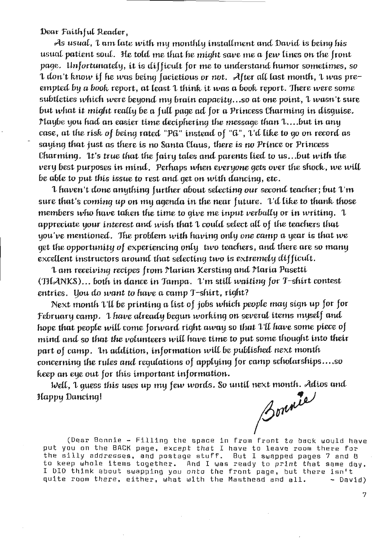**Dear Faithful Reader,** 

As usual, 'L *an1,* Care with niy nwnthfy i,nstaU.,nent *and David* is beit19 *his*  usual patient soul. He told me that he might save me a few lines on the front page. Unfortunately, it is difficult for me to understand humor sometimes, so 1 don't know if he was being facietious or not. After all last month, 1 was preempted by a book report, at least 1 think it was a book report. There were some subtleties which were beyond my brain capacity...so at one point, 1 wasn't sure but what it might really be a full page ad for a Princess Charming in disguise. rtaybe you had an easier time deciphering the message than 1....but in any case, at the risk of being rated "PG" instead of "G", 1'd like to 90 on record as saying that just as there is no Santa Claus, there is no Prince or Princess Charming. It's true that the fairy tales and parents lied to us...but with the very best purposes in mind. Perhaps when everyone gets over the shock, we will be able to put this issue to rest and get on with dancing, etc.

1 haven't done anything further about selecting our second teacher; but 1 m sure that's coming up on my agenda in the near *future*. I'd like to thank those members who have taken the time to give me input verbally or in writing. 1 appreciate your interest and wish that 1 could select all of the teachers that you've mentionm. Jhe problem with *havi-t19* only ooo *camp a* year is *that* we 9et the opportunity of experiencing only *two teachers, and there are so many* excellent instructors around that selecting two is extremely difficult.

'L *am* recetvinq recipes from *rtarian* ~rsti,nq and *rtaria* Pasetti- (THANKS)... both in dance in *Tampa*. *L'm* still waiting for *T*-shirt contest entries. You do want to have a camp T-shirt, right?

Next month  $\mathfrak l$ 'll be printing a list of jobs which people may sign up for for f ebruary *camp.* 'J., *have* already *b£9un* woi-k-tnq *on* several i-rerns niysdf *anc! hope that people will come forward right away so that*  $\mathcal{I}'\mathcal{I}$  *have some piece of* mi-nd *anc!* so *that* the vo(unwers wi,(( fmve thne to *put* some UwUc\_Jht into their *part of camp. In addition, information will be published next month* concerning the rules and regulations of applying for camp scholarships.... so keep an eye out for this important information.

Reep an eye out for mis important information.<br>Well, 1 guess this uses up my few words. So until next month. Adios and<br>*A added* 

3 ouvrier

(Dear Bonnie - Filling the space in from front to back would have put you on the BACK page, except that I have to leave room there for pac you on the show page, except that I have to leave foum there for<br>the silly addresses, and postage stuff. But I swapped pages 7 and 8 to keep whole items together. And I was ready to print tha t same da y. I DID think about swapping you onto the front pa ge, but there isn't quite room there, either, what with the Masthead and all. - David)